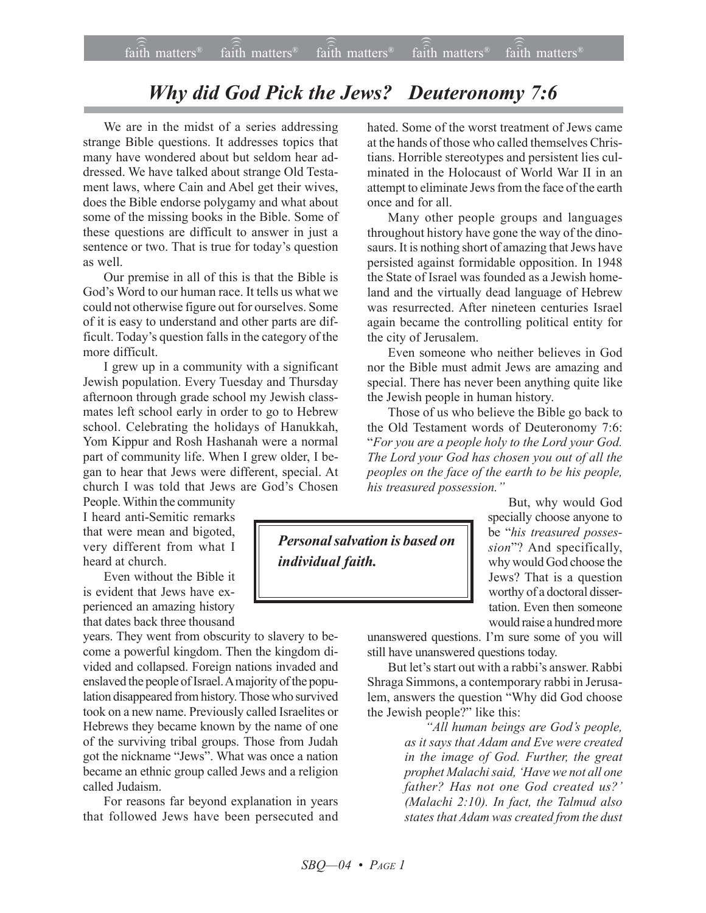## *Why did God Pick the Jews? Deuteronomy 7:6*

We are in the midst of a series addressing strange Bible questions. It addresses topics that many have wondered about but seldom hear addressed. We have talked about strange Old Testament laws, where Cain and Abel get their wives, does the Bible endorse polygamy and what about some of the missing books in the Bible. Some of these questions are difficult to answer in just a sentence or two. That is true for today's question as well.

Our premise in all of this is that the Bible is God's Word to our human race. It tells us what we could not otherwise figure out for ourselves. Some of it is easy to understand and other parts are difficult. Today's question falls in the category of the more difficult.

I grew up in a community with a significant Jewish population. Every Tuesday and Thursday afternoon through grade school my Jewish classmates left school early in order to go to Hebrew school. Celebrating the holidays of Hanukkah, Yom Kippur and Rosh Hashanah were a normal part of community life. When I grew older, I began to hear that Jews were different, special. At church I was told that Jews are God's Chosen

People. Within the community I heard anti-Semitic remarks that were mean and bigoted, very different from what I heard at church.

Even without the Bible it is evident that Jews have experienced an amazing history that dates back three thousand

years. They went from obscurity to slavery to become a powerful kingdom. Then the kingdom divided and collapsed. Foreign nations invaded and enslaved the people of Israel. A majority of the population disappeared from history. Those who survived took on a new name. Previously called Israelites or Hebrews they became known by the name of one of the surviving tribal groups. Those from Judah got the nickname "Jews". What was once a nation became an ethnic group called Jews and a religion called Judaism.

For reasons far beyond explanation in years that followed Jews have been persecuted and hated. Some of the worst treatment of Jews came at the hands of those who called themselves Christians. Horrible stereotypes and persistent lies culminated in the Holocaust of World War II in an attempt to eliminate Jews from the face of the earth once and for all.

Many other people groups and languages throughout history have gone the way of the dinosaurs. It is nothing short of amazing that Jews have persisted against formidable opposition. In 1948 the State of Israel was founded as a Jewish homeland and the virtually dead language of Hebrew was resurrected. After nineteen centuries Israel again became the controlling political entity for the city of Jerusalem.

Even someone who neither believes in God nor the Bible must admit Jews are amazing and special. There has never been anything quite like the Jewish people in human history.

Those of us who believe the Bible go back to the Old Testament words of Deuteronomy 7:6: ì*For you are a people holy to the Lord your God. The Lord your God has chosen you out of all the peoples on the face of the earth to be his people,* his treasured possession."

*Personal salvation is based on individual faith.*

But, why would God specially choose anyone to be "his treasured posses*sion*î? And specifically, why would God choose the Jews? That is a question worthy of a doctoral dissertation. Even then someone would raise a hundred more

unanswered questions. I'm sure some of you will still have unanswered questions today.

But let's start out with a rabbi's answer. Rabbi Shraga Simmons, a contemporary rabbi in Jerusalem, answers the question "Why did God choose the Jewish people?" like this:

> *ìAll human beings are Godís people, as it says that Adam and Eve were created in the image of God. Further, the great prophet Malachi said, ëHave we not all one* father? Has not one God created us?' *(Malachi 2:10). In fact, the Talmud also states that Adam was created from the dust*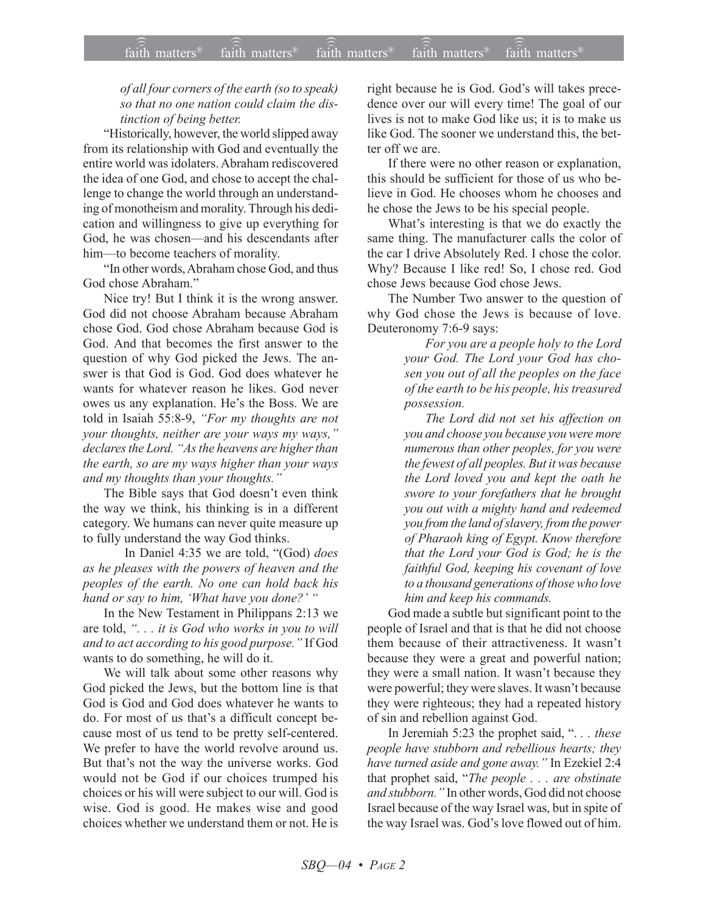## of all four corners of the earth (so to speak) so that no one nation could claim the distinction of being better.

"Historically, however, the world slipped away from its relationship with God and eventually the entire world was idolaters. Abraham rediscovered the idea of one God, and chose to accept the challenge to change the world through an understanding of monotheism and morality. Through his dedication and willingness to give up everything for God, he was chosen—and his descendants after him-to become teachers of morality.

"In other words, Abraham chose God, and thus God chose Abraham."

Nice try! But I think it is the wrong answer. God did not choose Abraham because Abraham chose God. God chose Abraham because God is God. And that becomes the first answer to the question of why God picked the Jews. The answer is that God is God. God does whatever he wants for whatever reason he likes. God never owes us any explanation. He's the Boss. We are told in Isaiah 55:8-9, "For my thoughts are not your thoughts, neither are your ways my ways," declares the Lord. "As the heavens are higher than the earth, so are my ways higher than your ways and my thoughts than your thoughts."

The Bible says that God doesn't even think the way we think, his thinking is in a different category. We humans can never quite measure up to fully understand the way God thinks.

In Daniel 4:35 we are told, "(God) does as he pleases with the powers of heaven and the peoples of the earth. No one can hold back his hand or say to him, 'What have you done?' "

In the New Testament in Philippans 2:13 we are told, "... it is God who works in you to will and to act according to his good purpose." If God wants to do something, he will do it.

We will talk about some other reasons why God picked the Jews, but the bottom line is that God is God and God does whatever he wants to do. For most of us that's a difficult concept because most of us tend to be pretty self-centered. We prefer to have the world revolve around us. But that's not the way the universe works. God would not be God if our choices trumped his choices or his will were subject to our will. God is wise. God is good. He makes wise and good choices whether we understand them or not. He is right because he is God. God's will takes precedence over our will every time! The goal of our lives is not to make God like us; it is to make us like God. The sooner we understand this, the better off we are.

If there were no other reason or explanation, this should be sufficient for those of us who believe in God. He chooses whom he chooses and he chose the Jews to be his special people.

What's interesting is that we do exactly the same thing. The manufacturer calls the color of the car I drive Absolutely Red. I chose the color. Why? Because I like red! So, I chose red. God chose Jews because God chose Jews.

The Number Two answer to the question of why God chose the Jews is because of love. Deuteronomy 7:6-9 says:

> For you are a people holy to the Lord your God. The Lord your God has chosen you out of all the peoples on the face of the earth to be his people, his treasured possession.

> The Lord did not set his affection on you and choose you because you were more numerous than other peoples, for you were the fewest of all peoples. But it was because the Lord loved you and kept the oath he swore to your forefathers that he brought you out with a mighty hand and redeemed you from the land of slavery, from the power of Pharaoh king of Egypt. Know therefore that the Lord your God is God; he is the faithful God, keeping his covenant of love to a thousand generations of those who love him and keep his commands.

God made a subtle but significant point to the people of Israel and that is that he did not choose them because of their attractiveness. It wasn't because they were a great and powerful nation; they were a small nation. It wasn't because they were powerful; they were slaves. It wasn't because they were righteous; they had a repeated history of sin and rebellion against God.

In Jeremiah 5:23 the prophet said, "... these people have stubborn and rebellious hearts; they have turned aside and gone away." In Ezekiel 2:4 that prophet said, "The people . . . are obstinate and stubborn." In other words, God did not choose Israel because of the way Israel was, but in spite of the way Israel was. God's love flowed out of him.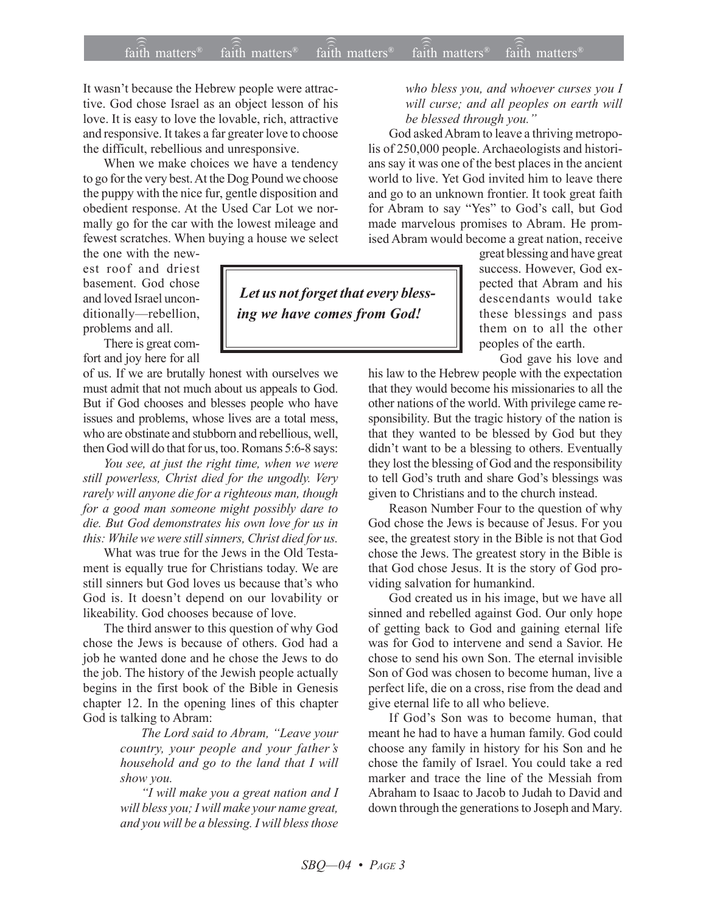It wasn't because the Hebrew people were attractive. God chose Israel as an object lesson of his love. It is easy to love the lovable, rich, attractive and responsive. It takes a far greater love to choose the difficult, rebellious and unresponsive.

When we make choices we have a tendency to go for the very best. At the Dog Pound we choose the puppy with the nice fur, gentle disposition and obedient response. At the Used Car Lot we normally go for the car with the lowest mileage and fewest scratches. When buying a house we select

the one with the newest roof and driest basement. God chose and loved Israel unconditionally-rebellion, problems and all.

There is great comfort and joy here for all

of us. If we are brutally honest with ourselves we must admit that not much about us appeals to God. But if God chooses and blesses people who have issues and problems, whose lives are a total mess, who are obstinate and stubborn and rebellious, well, then God will do that for us, too. Romans 5:6-8 says:

*You see, at just the right time, when we were still powerless, Christ died for the ungodly. Very rarely will anyone die for a righteous man, though for a good man someone might possibly dare to die. But God demonstrates his own love for us in this: While we were still sinners, Christ died for us.*

What was true for the Jews in the Old Testament is equally true for Christians today. We are still sinners but God loves us because that's who God is. It doesn't depend on our lovability or likeability. God chooses because of love.

The third answer to this question of why God chose the Jews is because of others. God had a job he wanted done and he chose the Jews to do the job. The history of the Jewish people actually begins in the first book of the Bible in Genesis chapter 12. In the opening lines of this chapter God is talking to Abram:

> *The Lord said to Abram, "Leave your country, your people and your fatherís household and go to the land that I will show you.*

> *ìI will make you a great nation and I will bless you; I will make your name great, and you will be a blessing. I will bless those*

 *Let us not forget that every blessing we have comes from God!*

*who bless you, and whoever curses you I will curse; and all peoples on earth will* be blessed through you.<sup>"</sup>

God asked Abram to leave a thriving metropolis of 250,000 people. Archaeologists and historians say it was one of the best places in the ancient world to live. Yet God invited him to leave there and go to an unknown frontier. It took great faith for Abram to say "Yes" to God's call, but God made marvelous promises to Abram. He promised Abram would become a great nation, receive

> great blessing and have great success. However, God expected that Abram and his descendants would take these blessings and pass them on to all the other peoples of the earth.

God gave his love and his law to the Hebrew people with the expectation

that they would become his missionaries to all the other nations of the world. With privilege came responsibility. But the tragic history of the nation is that they wanted to be blessed by God but they didn't want to be a blessing to others. Eventually they lost the blessing of God and the responsibility to tell God's truth and share God's blessings was given to Christians and to the church instead.

Reason Number Four to the question of why God chose the Jews is because of Jesus. For you see, the greatest story in the Bible is not that God chose the Jews. The greatest story in the Bible is that God chose Jesus. It is the story of God providing salvation for humankind.

God created us in his image, but we have all sinned and rebelled against God. Our only hope of getting back to God and gaining eternal life was for God to intervene and send a Savior. He chose to send his own Son. The eternal invisible Son of God was chosen to become human, live a perfect life, die on a cross, rise from the dead and give eternal life to all who believe.

If God's Son was to become human, that meant he had to have a human family. God could choose any family in history for his Son and he chose the family of Israel. You could take a red marker and trace the line of the Messiah from Abraham to Isaac to Jacob to Judah to David and down through the generations to Joseph and Mary.